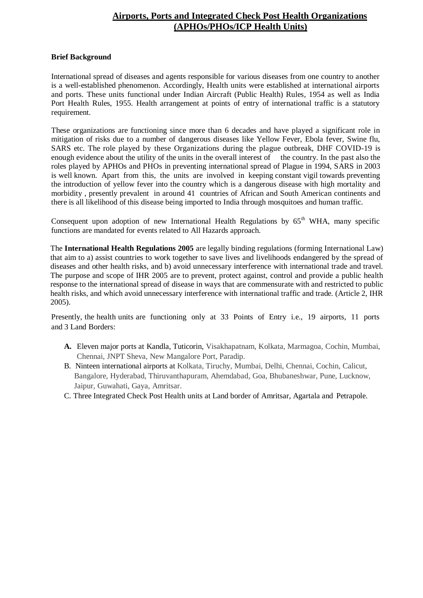## **Airports, Ports and Integrated Check Post Health Organizations (APHOs/PHOs/ICP Health Units)**

#### **Brief Background**

International spread of diseases and agents responsible for various diseases from one country to another is a well-established phenomenon. Accordingly, Health units were established at international airports and ports. These units functional under Indian Aircraft (Public Health) Rules, 1954 as well as India Port Health Rules, 1955. Health arrangement at points of entry of international traffic is a statutory requirement.

These organizations are functioning since more than 6 decades and have played a significant role in mitigation of risks due to a number of dangerous diseases like Yellow Fever, Ebola fever, Swine flu, SARS etc. The role played by these Organizations during the plague outbreak, DHF COVID-19 is enough evidence about the utility of the units in the overall interest of the country. In the past also the roles played by APHOs and PHOs in preventing international spread of Plague in 1994, SARS in 2003 is well known. Apart from this, the units are involved in keeping constant vigil towards preventing the introduction of yellow fever into the country which is a dangerous disease with high mortality and morbidity , presently prevalent in around 41 countries of African and South American continents and there is all likelihood of this disease being imported to India through mosquitoes and human traffic.

Consequent upon adoption of new International Health Regulations by  $65<sup>th</sup>$  WHA, many specific functions are mandated for events related to All Hazards approach.

The **International Health Regulations 2005** are legally binding regulations (forming International Law) that aim to a) assist countries to work together to save lives and livelihoods endangered by the spread of diseases and other health risks, and b) avoid unnecessary interference with international trade and travel. The purpose and scope of IHR 2005 are to prevent, protect against, control and provide a public health response to the international spread of disease in ways that are commensurate with and restricted to public health risks, and which avoid unnecessary interference with international traffic and trade. (Article 2, IHR 2005).

Presently, the health units are functioning only at 33 Points of Entry i.e., 19 airports, 11 ports and 3 Land Borders:

- **A.** Eleven major ports at Kandla, Tuticorin, Visakhapatnam, Kolkata, Marmagoa, Cochin, Mumbai, Chennai, JNPT Sheva, New Mangalore Port, Paradip.
- B. Ninteen international airports at Kolkata, Tiruchy, Mumbai, Delhi, Chennai, Cochin, Calicut, Bangalore, Hyderabad, Thiruvanthapuram, Ahemdabad, Goa, Bhubaneshwar, Pune, Lucknow, Jaipur, Guwahati, Gaya, Amritsar.
- C. Three Integrated Check Post Health units at Land border of Amritsar, Agartala and Petrapole.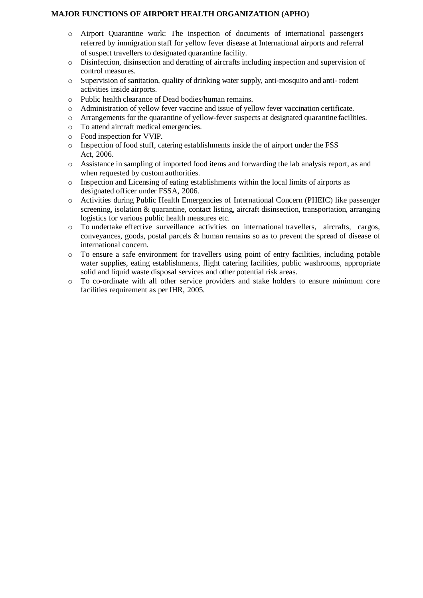### **MAJOR FUNCTIONS OF AIRPORT HEALTH ORGANIZATION (APHO)**

- o Airport Quarantine work: The inspection of documents of international passengers referred by immigration staff for yellow fever disease at International airports and referral of suspect travellers to designated quarantine facility.
- o Disinfection, disinsection and deratting of aircrafts including inspection and supervision of control measures.
- o Supervision of sanitation, quality of drinking water supply, anti-mosquito and anti- rodent activities inside airports.
- o Public health clearance of Dead bodies/human remains.
- o Administration of yellow fever vaccine and issue of yellow fever vaccination certificate.
- o Arrangements for the quarantine of yellow-fever suspects at designated quarantine facilities.
- o To attend aircraft medical emergencies.
- o Food inspection for VVIP.
- o Inspection of food stuff, catering establishments inside the of airport under the FSS Act, 2006.
- o Assistance in sampling of imported food items and forwarding the lab analysis report, as and when requested by custom authorities.
- o Inspection and Licensing of eating establishments within the local limits of airports as designated officer under FSSA, 2006.
- o Activities during Public Health Emergencies of International Concern (PHEIC) like passenger screening, isolation & quarantine, contact listing, aircraft disinsection, transportation, arranging logistics for various public health measures etc.
- o To undertake effective surveillance activities on international travellers, aircrafts, cargos, conveyances, goods, postal parcels & human remains so as to prevent the spread of disease of international concern.
- o To ensure a safe environment for travellers using point of entry facilities, including potable water supplies, eating establishments, flight catering facilities, public washrooms, appropriate solid and liquid waste disposal services and other potential risk areas.
- o To co-ordinate with all other service providers and stake holders to ensure minimum core facilities requirement as per IHR, 2005.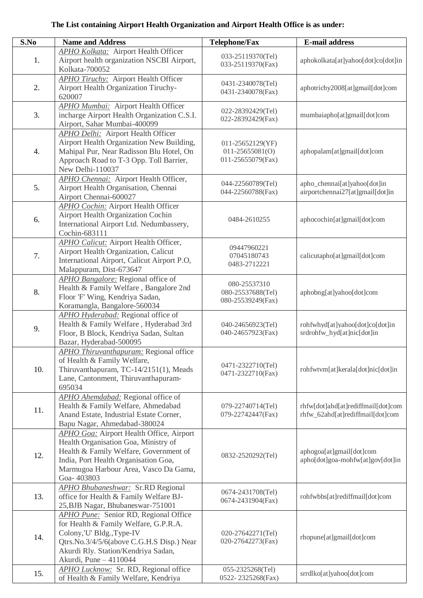# **The List containing Airport Health Organization and Airport Health Office is as under:**

| $\overline{\mathbf{S}}.\mathbf{No}$ | <b>Name and Address</b>                         | <b>Telephone/Fax</b> | <b>E-mail address</b>                                        |
|-------------------------------------|-------------------------------------------------|----------------------|--------------------------------------------------------------|
|                                     | <b>APHO Kolkata:</b> Airport Health Officer     |                      |                                                              |
| 1.                                  | Airport health organization NSCBI Airport,      | 033-25119370(Tel)    | aphokolkata[at]yahoo[dot]co[dot]in                           |
|                                     | Kolkata-700052                                  | 033-25119370(Fax)    |                                                              |
|                                     |                                                 |                      |                                                              |
| 2.                                  | <b>APHO Tiruchy:</b> Airport Health Officer     | 0431-2340078(Tel)    |                                                              |
|                                     | Airport Health Organization Tiruchy-            | 0431-2340078(Fax)    | aphotrichy2008[at]gmail[dot]com                              |
|                                     | 620007                                          |                      |                                                              |
|                                     | <b>APHO Mumbai:</b> Airport Health Officer      | 022-28392429(Tel)    |                                                              |
| 3.                                  | incharge Airport Health Organization C.S.I.     | 022-28392429(Fax)    | mumbaiapho[at]gmail[dot]com                                  |
|                                     | Airport, Sahar Mumbai-400099                    |                      |                                                              |
|                                     | <b>APHO Delhi:</b> Airport Health Officer       |                      |                                                              |
|                                     | Airport Health Organization New Building,       | 011-25652129(YF)     |                                                              |
| 4.                                  | Mahipal Pur, Near Radisson Blu Hotel, On        | $011 - 25655081(0)$  | aphopalam[at]gmail[dot]com                                   |
|                                     | Approach Road to T-3 Opp. Toll Barrier,         | 011-25655079(Fax)    |                                                              |
|                                     | New Delhi-110037                                |                      |                                                              |
|                                     | <b>APHO Chennai:</b> Airport Health Officer,    |                      |                                                              |
| 5.                                  | Airport Health Organisation, Chennai            | 044-22560789(Tel)    | apho_chennai[at]yahoo[dot]in                                 |
|                                     | Airport Chennai-600027                          | 044-22560788(Fax)    | airportchennai27[at]gmail[dot]in                             |
|                                     | APHO Cochin: Airport Health Officer             |                      |                                                              |
|                                     | Airport Health Organization Cochin              |                      |                                                              |
| 6.                                  |                                                 | 0484-2610255         | aphocochin[at]gmail[dot]com                                  |
|                                     | International Airport Ltd. Nedumbassery,        |                      |                                                              |
|                                     | Cochin-683111                                   |                      |                                                              |
|                                     | APHO Calicut: Airport Health Officer,           | 09447960221          |                                                              |
| 7.                                  | Airport Health Organization, Calicut            | 07045180743          | calicutapho[at]gmail[dot]com                                 |
|                                     | International Airport, Calicut Airport P.O,     | 0483-2712221         |                                                              |
|                                     | Malappuram, Dist-673647                         |                      |                                                              |
|                                     | <b>APHO Bangalore:</b> Regional office of       | 080-25537310         |                                                              |
| 8.                                  | Health & Family Welfare, Bangalore 2nd          | 080-25537688(Tel)    | aphobng[at]yahoo[dot]com                                     |
|                                     | Floor 'F' Wing, Kendriya Sadan,                 | 080-25539249(Fax)    |                                                              |
|                                     | Koramangla, Bangalore-560034                    |                      |                                                              |
|                                     | <b>APHO Hyderabad:</b> Regional office of       |                      |                                                              |
|                                     | Health & Family Welfare, Hyderabad 3rd          | 040-24656923(Tel)    | rohfwhyd[at]yahoo[dot]co[dot]in                              |
| 9.                                  | Floor, B Block, Kendriya Sadan, Sultan          | 040-24657923(Fax)    | srdrohfw_hyd[at]nic[dot]in                                   |
|                                     | Bazar, Hyderabad-500095                         |                      |                                                              |
|                                     | APHO Thiruvanthapuram: Regional office          |                      |                                                              |
|                                     | of Health & Family Welfare,                     |                      |                                                              |
| 10.                                 | Thiruvanthapuram, TC-14/2151(1), Meads          | 0471-2322710(Tel)    | rohfwtvm[at]kerala[dot]nic[dot]in                            |
|                                     | Lane, Cantonment, Thiruvanthapuram-             | 0471-2322710(Fax)    |                                                              |
|                                     | 695034                                          |                      |                                                              |
|                                     | APHO Ahemdabad: Regional office of              |                      |                                                              |
|                                     | Health & Family Welfare, Ahmedabad              | 079-22740714(Tel)    | rhfw[dot]ahd[at]rediffmail[dot]com                           |
| 11.                                 | Anand Estate, Industrial Estate Corner,         | 079-22742447(Fax)    | rhfw_62ahd[at]rediffmail[dot]com                             |
|                                     | Bapu Nagar, Ahmedabad-380024                    |                      |                                                              |
|                                     | <b>APHO Goa: Airport Health Office, Airport</b> |                      |                                                              |
|                                     | Health Organisation Goa, Ministry of            |                      |                                                              |
|                                     | Health & Family Welfare, Government of          |                      |                                                              |
| 12.                                 |                                                 | 0832-2520292(Tel)    | aphogoa[at]gmail[dot]com<br>apho[dot]goa-mohfw[at]gov[dot]in |
|                                     | India, Port Health Organisation Goa,            |                      |                                                              |
|                                     | Marmugoa Harbour Area, Vasco Da Gama,           |                      |                                                              |
|                                     | Goa-403803                                      |                      |                                                              |
| 13.                                 | <b>APHO Bhubaneshwar: Sr.RD Regional</b>        | 0674-2431708(Tel)    |                                                              |
|                                     | office for Health & Family Welfare BJ-          | 0674-2431904(Fax)    | rohfwbbs[at]rediffmail[dot]com                               |
|                                     | 25, BJB Nagar, Bhubaneswar-751001               |                      |                                                              |
| 14.                                 | APHO Pune: Senior RD, Regional Office           |                      |                                                              |
|                                     | for Health & Family Welfare, G.P.R.A.           |                      |                                                              |
|                                     | Colony,'U' Bldg.,Type-IV                        | 020-27642271(Tel)    | rhopune[at]gmail[dot]com                                     |
|                                     | Qtrs.No.3/4/5/6(above C.G.H.S Disp.) Near       | 020-27642273(Fax)    |                                                              |
|                                     | Akurdi Rly. Station/Kendriya Sadan,             |                      |                                                              |
|                                     | Akurdi, Pune - 4110044                          |                      |                                                              |
|                                     | APHO Lucknow: Sr. RD, Regional office           | 055-2325268(Tel)     |                                                              |
| 15.                                 | of Health & Family Welfare, Kendriya            | 0522-2325268(Fax)    | srrdlko[at]yahoo[dot]com                                     |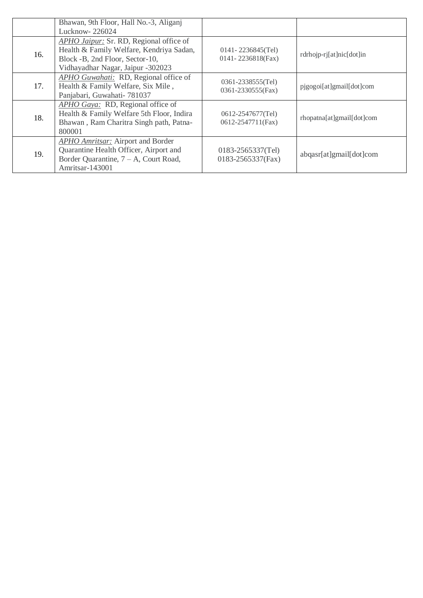|     | Bhawan, 9th Floor, Hall No.-3, Aliganj                                                                                                                      |                                             |                           |
|-----|-------------------------------------------------------------------------------------------------------------------------------------------------------------|---------------------------------------------|---------------------------|
|     | Lucknow-226024                                                                                                                                              |                                             |                           |
| 16. | APHO Jaipur: Sr. RD, Regional office of<br>Health & Family Welfare, Kendriya Sadan,<br>Block -B, 2nd Floor, Sector-10,<br>Vidhayadhar Nagar, Jaipur -302023 | $0141 - 2236845$ (Tel)<br>0141-2236818(Fax) | rdrhojp-rj[at]nic[dot]in  |
| 17. | APHO Guwahati: RD, Regional office of<br>Health & Family Welfare, Six Mile,<br>Panjabari, Guwahati- 781037                                                  | 0361-2338555(Tel)<br>0361-2330555(Fax)      | pjgogoi[at]gmail[dot]com  |
| 18. | APHO Gaya: RD, Regional office of<br>Health & Family Welfare 5th Floor, Indira<br>Bhawan, Ram Charitra Singh path, Patna-<br>800001                         | 0612-2547677(Tel)<br>0612-2547711(Fax)      | rhopatna[at]gmail[dot]com |
| 19. | APHO Amritsar: Airport and Border<br>Quarantine Health Officer, Airport and<br>Border Quarantine, $7 - A$ , Court Road,<br>Amritsar-143001                  | 0183-2565337(Tel)<br>0183-2565337(Fax)      | abqasr[at]gmail[dot]com   |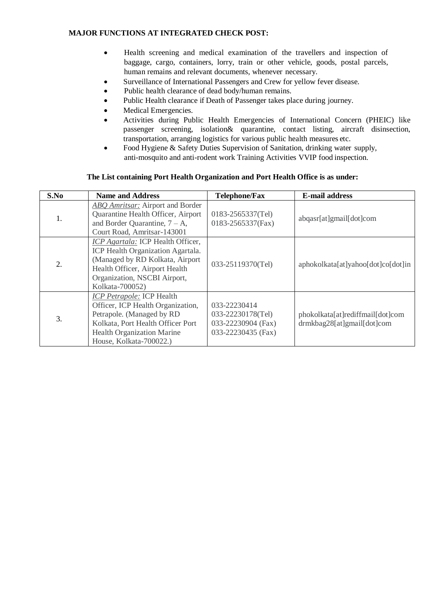### **MAJOR FUNCTIONS AT INTEGRATED CHECK POST:**

- Health screening and medical examination of the travellers and inspection of baggage, cargo, containers, lorry, train or other vehicle, goods, postal parcels, human remains and relevant documents, whenever necessary.
- Surveillance of International Passengers and Crew for yellow fever disease.
- Public health clearance of dead body/human remains.
- Public Health clearance if Death of Passenger takes place during journey.
- Medical Emergencies.
- Activities during Public Health Emergencies of International Concern (PHEIC) like passenger screening, isolation& quarantine, contact listing, aircraft disinsection, transportation, arranging logistics for various public health measures etc.
- Food Hygiene & Safety Duties Supervision of Sanitation, drinking water supply, anti-mosquito and anti-rodent work Training Activities VVIP food inspection.

#### **The List containing Port Health Organization and Port Health Office is as under:**

| S.No             | <b>Name and Address</b>                                                                                                                                                                                 | <b>Telephone/Fax</b>                                                          | <b>E-mail address</b>                                          |
|------------------|---------------------------------------------------------------------------------------------------------------------------------------------------------------------------------------------------------|-------------------------------------------------------------------------------|----------------------------------------------------------------|
| 1.               | ABQ Amritsar: Airport and Border<br>Quarantine Health Officer, Airport<br>and Border Quarantine, $7 - A$ ,<br>Court Road, Amritsar-143001                                                               | 0183-2565337(Tel)<br>0183-2565337(Fax)                                        | abqasr[at]gmail[dot]com                                        |
| $\overline{2}$ . | ICP Agartala: ICP Health Officer,<br>ICP Health Organization Agartala.<br>(Managed by RD Kolkata, Airport)<br>Health Officer, Airport Health<br>Organization, NSCBI Airport,<br>Kolkata-700052)         | 033-25119370(Tel)                                                             | aphokolkata[at]yahoo[dot]co[dot]in                             |
| 3.               | <b>ICP Petrapole: ICP Health</b><br>Officer, ICP Health Organization,<br>Petrapole. (Managed by RD<br>Kolkata, Port Health Officer Port<br><b>Health Organization Marine</b><br>House, Kolkata-700022.) | 033-22230414<br>033-22230178(Tel)<br>033-22230904 (Fax)<br>033-22230435 (Fax) | phokolkata[at]rediffmail[dot]com<br>drmkbag28[at]gmail[dot]com |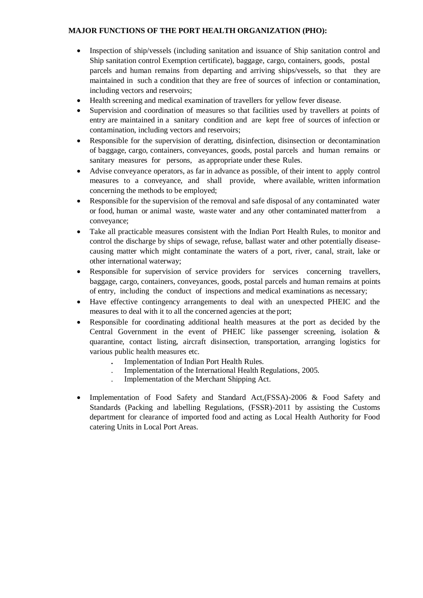### **MAJOR FUNCTIONS OF THE PORT HEALTH ORGANIZATION (PHO):**

- Inspection of ship/vessels (including sanitation and issuance of Ship sanitation control and Ship sanitation control Exemption certificate), baggage, cargo, containers, goods, postal parcels and human remains from departing and arriving ships/vessels, so that they are maintained in such a condition that they are free of sources of infection or contamination, including vectors and reservoirs;
- Health screening and medical examination of travellers for yellow fever disease.
- Supervision and coordination of measures so that facilities used by travellers at points of entry are maintained in a sanitary condition and are kept free of sources of infection or contamination, including vectors and reservoirs;
- Responsible for the supervision of deratting, disinfection, disinsection or decontamination of baggage, cargo, containers, conveyances, goods, postal parcels and human remains or sanitary measures for persons, as appropriate under these Rules.
- Advise conveyance operators, as far in advance as possible, of their intent to apply control measures to a conveyance, and shall provide, where available, written information concerning the methods to be employed;
- Responsible for the supervision of the removal and safe disposal of any contaminated water or food, human or animal waste, waste water and any other contaminated matterfrom a conveyance;
- Take all practicable measures consistent with the Indian Port Health Rules, to monitor and control the discharge by ships of sewage, refuse, ballast water and other potentially diseasecausing matter which might contaminate the waters of a port, river, canal, strait, lake or other international waterway;
- Responsible for supervision of service providers for services concerning travellers, baggage, cargo, containers, conveyances, goods, postal parcels and human remains at points of entry, including the conduct of inspections and medical examinations as necessary;
- Have effective contingency arrangements to deal with an unexpected PHEIC and the measures to deal with it to all the concerned agencies at the port;
- Responsible for coordinating additional health measures at the port as decided by the Central Government in the event of PHEIC like passenger screening, isolation & quarantine, contact listing, aircraft disinsection, transportation, arranging logistics for various public health measures etc.
	- **.** Implementation of Indian Port Health Rules.
	- . Implementation of the International Health Regulations, 2005.
	- . Implementation of the Merchant Shipping Act.
- Implementation of Food Safety and Standard Act,(FSSA)-2006 & Food Safety and Standards (Packing and labelling Regulations, (FSSR)-2011 by assisting the Customs department for clearance of imported food and acting as Local Health Authority for Food catering Units in Local Port Areas.